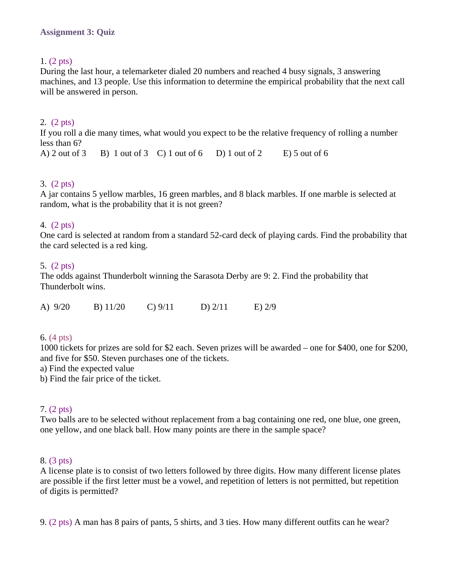# 1. (2 pts)

During the last hour, a telemarketer dialed 20 numbers and reached 4 busy signals, 3 answering machines, and 13 people. Use this information to determine the empirical probability that the next call will be answered in person.

# 2. (2 pts)

If you roll a die many times, what would you expect to be the relative frequency of rolling a number less than 6?

A) 2 out of 3 B) 1 out of 3 C) 1 out of 6 D) 1 out of 2 E) 5 out of 6

## 3. (2 pts)

A jar contains 5 yellow marbles, 16 green marbles, and 8 black marbles. If one marble is selected at random, what is the probability that it is not green?

## 4. (2 pts)

One card is selected at random from a standard 52-card deck of playing cards. Find the probability that the card selected is a red king.

## 5. (2 pts)

The odds against Thunderbolt winning the Sarasota Derby are 9: 2. Find the probability that Thunderbolt wins.

| A) 9/20 | $B)$ 11/20 | $C$ ) $9/11$ | D) $2/11$ | $E)$ 2/9 |
|---------|------------|--------------|-----------|----------|
|         |            |              |           |          |

#### 6. (4 pts)

1000 tickets for prizes are sold for \$2 each. Seven prizes will be awarded – one for \$400, one for \$200, and five for \$50. Steven purchases one of the tickets.

a) Find the expected value

b) Find the fair price of the ticket.

#### 7. (2 pts)

Two balls are to be selected without replacement from a bag containing one red, one blue, one green, one yellow, and one black ball. How many points are there in the sample space?

#### 8. (3 pts)

A license plate is to consist of two letters followed by three digits. How many different license plates are possible if the first letter must be a vowel, and repetition of letters is not permitted, but repetition of digits is permitted?

9. (2 pts) A man has 8 pairs of pants, 5 shirts, and 3 ties. How many different outfits can he wear?